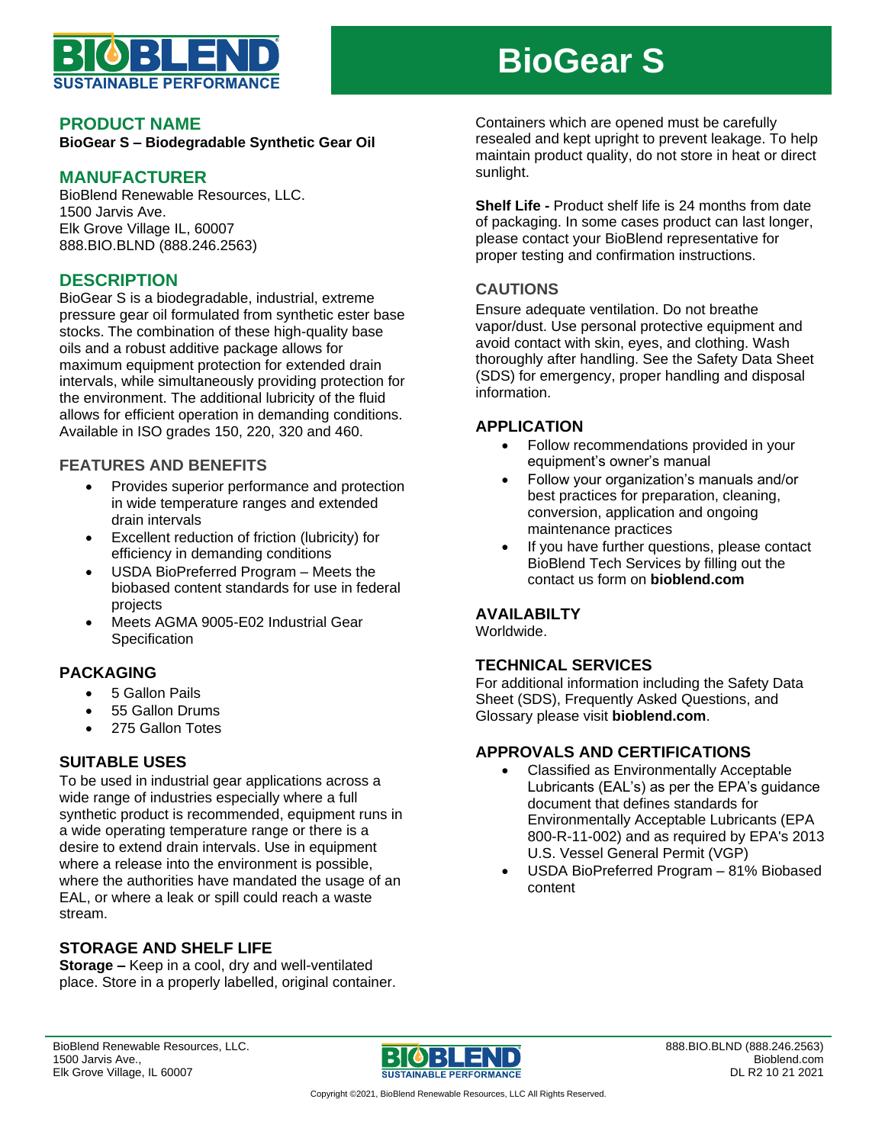

# **BioGear S**

#### **PRODUCT NAME**

**BioGear S – Biodegradable Synthetic Gear Oil**

#### **MANUFACTURER**

BioBlend Renewable Resources, LLC. 1500 Jarvis Ave. Elk Grove Village IL, 60007 888.BIO.BLND (888.246.2563)

## **DESCRIPTION**

BioGear S is a biodegradable, industrial, extreme pressure gear oil formulated from synthetic ester base stocks. The combination of these high-quality base oils and a robust additive package allows for maximum equipment protection for extended drain intervals, while simultaneously providing protection for the environment. The additional lubricity of the fluid allows for efficient operation in demanding conditions. Available in ISO grades 150, 220, 320 and 460.

#### **FEATURES AND BENEFITS**

- Provides superior performance and protection in wide temperature ranges and extended drain intervals
- Excellent reduction of friction (lubricity) for efficiency in demanding conditions
- USDA BioPreferred Program Meets the biobased content standards for use in federal projects
- Meets AGMA 9005-E02 Industrial Gear **Specification**

## **PACKAGING**

- 5 Gallon Pails
- 55 Gallon Drums
- 275 Gallon Totes

## **SUITABLE USES**

To be used in industrial gear applications across a wide range of industries especially where a full synthetic product is recommended, equipment runs in a wide operating temperature range or there is a desire to extend drain intervals. Use in equipment where a release into the environment is possible, where the authorities have mandated the usage of an EAL, or where a leak or spill could reach a waste stream.

## **STORAGE AND SHELF LIFE**

**Storage –** Keep in a cool, dry and well-ventilated place. Store in a properly labelled, original container. Containers which are opened must be carefully resealed and kept upright to prevent leakage. To help maintain product quality, do not store in heat or direct sunlight.

**Shelf Life -** Product shelf life is 24 months from date of packaging. In some cases product can last longer, please contact your BioBlend representative for proper testing and confirmation instructions.

## **CAUTIONS**

Ensure adequate ventilation. Do not breathe vapor/dust. Use personal protective equipment and avoid contact with skin, eyes, and clothing. Wash thoroughly after handling. See the Safety Data Sheet (SDS) for emergency, proper handling and disposal information.

#### **APPLICATION**

- Follow recommendations provided in your equipment's owner's manual
- Follow your organization's manuals and/or best practices for preparation, cleaning, conversion, application and ongoing maintenance practices
- If you have further questions, please contact BioBlend Tech Services by filling out the contact us form on **bioblend.com**

## **AVAILABILTY**

Worldwide.

#### **TECHNICAL SERVICES**

For additional information including the Safety Data Sheet (SDS), Frequently Asked Questions, and Glossary please visit **bioblend.com**.

## **APPROVALS AND CERTIFICATIONS**

- Classified as Environmentally Acceptable Lubricants (EAL's) as per the EPA's guidance document that defines standards for Environmentally Acceptable Lubricants (EPA 800-R-11-002) and as required by EPA's 2013 U.S. Vessel General Permit (VGP)
- USDA BioPreferred Program 81% Biobased content